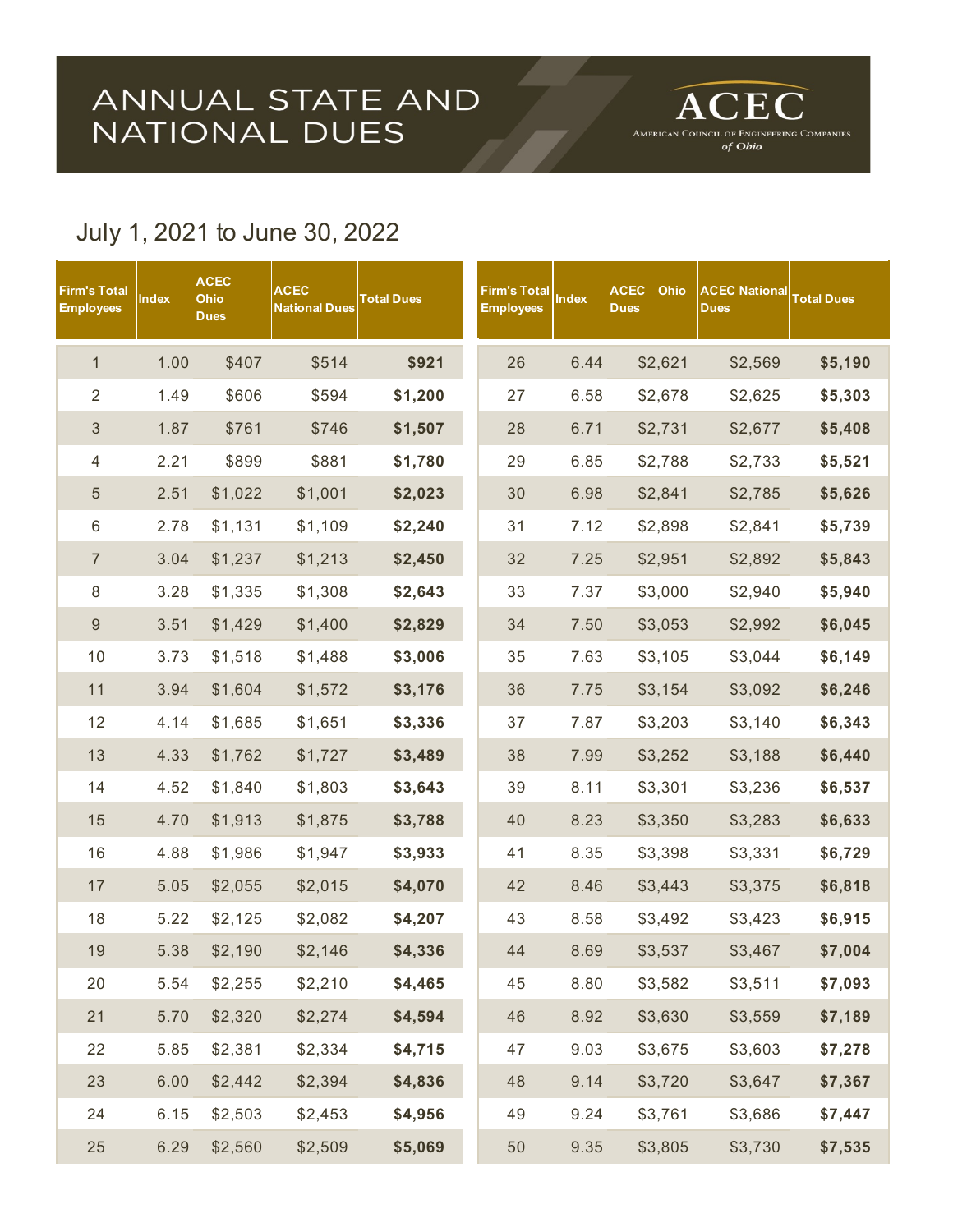## ANNUAL STATE AND<br>NATIONAL DUES

ACEC AMERICAN COUNCIL OF ENGINEERING COMPANIES<br>
of Obio

## July 1, 2021 to June 30, 2022

| Firm's Total<br><b>Employees</b> | <b>Index</b> | <b>ACEC</b><br>Ohio<br><b>Dues</b> | <b>ACEC</b><br><b>National Dues</b> | <b>Total Dues</b> | Firm's Total<br><b>Employees</b> | <b>Index</b> | <b>ACEC</b><br>Ohio<br><b>Dues</b> | <b>ACEC National</b><br><b>Dues</b> | <b>Total Dues</b> |
|----------------------------------|--------------|------------------------------------|-------------------------------------|-------------------|----------------------------------|--------------|------------------------------------|-------------------------------------|-------------------|
| $\mathbf{1}$                     | 1.00         | \$407                              | \$514                               | \$921             | 26                               | 6.44         | \$2,621                            | \$2,569                             | \$5,190           |
| $\overline{2}$                   | 1.49         | \$606                              | \$594                               | \$1,200           | 27                               | 6.58         | \$2,678                            | \$2,625                             | \$5,303           |
| $\mathfrak{S}$                   | 1.87         | \$761                              | \$746                               | \$1,507           | 28                               | 6.71         | \$2,731                            | \$2,677                             | \$5,408           |
| $\overline{4}$                   | 2.21         | \$899                              | \$881                               | \$1,780           | 29                               | 6.85         | \$2,788                            | \$2,733                             | \$5,521           |
| $\sqrt{5}$                       | 2.51         | \$1,022                            | \$1,001                             | \$2,023           | 30                               | 6.98         | \$2,841                            | \$2,785                             | \$5,626           |
| $\,6$                            | 2.78         | \$1,131                            | \$1,109                             | \$2,240           | 31                               | 7.12         | \$2,898                            | \$2,841                             | \$5,739           |
| $\overline{7}$                   | 3.04         | \$1,237                            | \$1,213                             | \$2,450           | 32                               | 7.25         | \$2,951                            | \$2,892                             | \$5,843           |
| $\,8\,$                          | 3.28         | \$1,335                            | \$1,308                             | \$2,643           | 33                               | 7.37         | \$3,000                            | \$2,940                             | \$5,940           |
| $\boldsymbol{9}$                 | 3.51         | \$1,429                            | \$1,400                             | \$2,829           | 34                               | 7.50         | \$3,053                            | \$2,992                             | \$6,045           |
| 10                               | 3.73         | \$1,518                            | \$1,488                             | \$3,006           | 35                               | 7.63         | \$3,105                            | \$3,044                             | \$6,149           |
| 11                               | 3.94         | \$1,604                            | \$1,572                             | \$3,176           | 36                               | 7.75         | \$3,154                            | \$3,092                             | \$6,246           |
| 12                               | 4.14         | \$1,685                            | \$1,651                             | \$3,336           | 37                               | 7.87         | \$3,203                            | \$3,140                             | \$6,343           |
| 13                               | 4.33         | \$1,762                            | \$1,727                             | \$3,489           | 38                               | 7.99         | \$3,252                            | \$3,188                             | \$6,440           |
| 14                               | 4.52         | \$1,840                            | \$1,803                             | \$3,643           | 39                               | 8.11         | \$3,301                            | \$3,236                             | \$6,537           |
| 15                               | 4.70         | \$1,913                            | \$1,875                             | \$3,788           | 40                               | 8.23         | \$3,350                            | \$3,283                             | \$6,633           |
| 16                               | 4.88         | \$1,986                            | \$1,947                             | \$3,933           | 41                               | 8.35         | \$3,398                            | \$3,331                             | \$6,729           |
| 17                               | 5.05         | \$2,055                            | \$2,015                             | \$4,070           | 42                               | 8.46         | \$3,443                            | \$3,375                             | \$6,818           |
| 18                               | 5.22         | \$2,125                            | \$2,082                             | \$4,207           | 43                               | 8.58         | \$3,492                            | \$3,423                             | \$6,915           |
| 19                               | 5.38         | \$2,190                            | \$2,146                             | \$4,336           | 44                               | 8.69         | \$3,537                            | \$3,467                             | \$7,004           |
| 20                               | 5.54         | \$2,255                            | \$2,210                             | \$4,465           | 45                               | 8.80         | \$3,582                            | \$3,511                             | \$7,093           |
| 21                               | 5.70         | \$2,320                            | \$2,274                             | \$4,594           | 46                               | 8.92         | \$3,630                            | \$3,559                             | \$7,189           |
| 22                               | 5.85         | \$2,381                            | \$2,334                             | \$4,715           | 47                               | 9.03         | \$3,675                            | \$3,603                             | \$7,278           |
| 23                               | 6.00         | \$2,442                            | \$2,394                             | \$4,836           | 48                               | 9.14         | \$3,720                            | \$3,647                             | \$7,367           |
| 24                               | 6.15         | \$2,503                            | \$2,453                             | \$4,956           | 49                               | 9.24         | \$3,761                            | \$3,686                             | \$7,447           |
| 25                               | 6.29         | \$2,560                            | \$2,509                             | \$5,069           | 50                               | 9.35         | \$3,805                            | \$3,730                             | \$7,535           |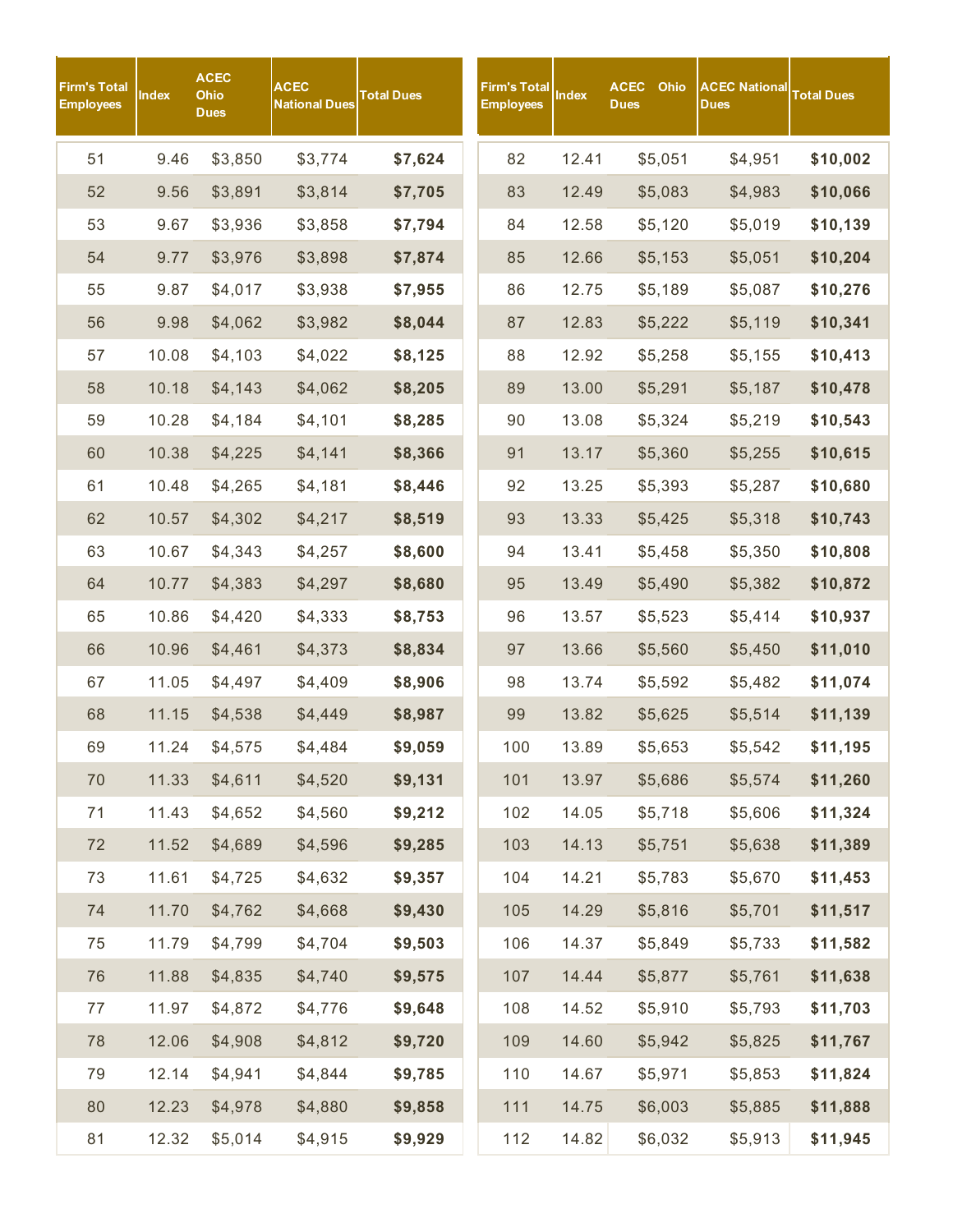| Firm's Total<br>Employees | Index | <b>ACEC</b><br>Ohio<br><b>Dues</b> | <b>ACEC</b><br><b>National Dues</b> | <b>Total Dues</b> | <b>Firm's Total</b><br><b>Employees</b> | Index | <b>ACEC</b><br><b>Ohio</b><br><b>Dues</b> | <b>ACEC National</b><br><b>Dues</b> | <b>Total Dues</b> |
|---------------------------|-------|------------------------------------|-------------------------------------|-------------------|-----------------------------------------|-------|-------------------------------------------|-------------------------------------|-------------------|
| 51                        | 9.46  | \$3,850                            | \$3,774                             | \$7,624           | 82                                      | 12.41 | \$5,051                                   | \$4,951                             | \$10,002          |
| 52                        | 9.56  | \$3,891                            | \$3,814                             | \$7,705           | 83                                      | 12.49 | \$5,083                                   | \$4,983                             | \$10,066          |
| 53                        | 9.67  | \$3,936                            | \$3,858                             | \$7,794           | 84                                      | 12.58 | \$5,120                                   | \$5,019                             | \$10,139          |
| 54                        | 9.77  | \$3,976                            | \$3,898                             | \$7,874           | 85                                      | 12.66 | \$5,153                                   | \$5,051                             | \$10,204          |
| 55                        | 9.87  | \$4,017                            | \$3,938                             | \$7,955           | 86                                      | 12.75 | \$5,189                                   | \$5,087                             | \$10,276          |
| 56                        | 9.98  | \$4,062                            | \$3,982                             | \$8,044           | 87                                      | 12.83 | \$5,222                                   | \$5,119                             | \$10,341          |
| 57                        | 10.08 | \$4,103                            | \$4,022                             | \$8,125           | 88                                      | 12.92 | \$5,258                                   | \$5,155                             | \$10,413          |
| 58                        | 10.18 | \$4,143                            | \$4,062                             | \$8,205           | 89                                      | 13.00 | \$5,291                                   | \$5,187                             | \$10,478          |
| 59                        | 10.28 | \$4,184                            | \$4,101                             | \$8,285           | 90                                      | 13.08 | \$5,324                                   | \$5,219                             | \$10,543          |
| 60                        | 10.38 | \$4,225                            | \$4,141                             | \$8,366           | 91                                      | 13.17 | \$5,360                                   | \$5,255                             | \$10,615          |
| 61                        | 10.48 | \$4,265                            | \$4,181                             | \$8,446           | 92                                      | 13.25 | \$5,393                                   | \$5,287                             | \$10,680          |
| 62                        | 10.57 | \$4,302                            | \$4,217                             | \$8,519           | 93                                      | 13.33 | \$5,425                                   | \$5,318                             | \$10,743          |
| 63                        | 10.67 | \$4,343                            | \$4,257                             | \$8,600           | 94                                      | 13.41 | \$5,458                                   | \$5,350                             | \$10,808          |
| 64                        | 10.77 | \$4,383                            | \$4,297                             | \$8,680           | 95                                      | 13.49 | \$5,490                                   | \$5,382                             | \$10,872          |
| 65                        | 10.86 | \$4,420                            | \$4,333                             | \$8,753           | 96                                      | 13.57 | \$5,523                                   | \$5,414                             | \$10,937          |
| 66                        | 10.96 | \$4,461                            | \$4,373                             | \$8,834           | 97                                      | 13.66 | \$5,560                                   | \$5,450                             | \$11,010          |
| 67                        | 11.05 | \$4,497                            | \$4,409                             | \$8,906           | 98                                      | 13.74 | \$5,592                                   | \$5,482                             | \$11,074          |
| 68                        | 11.15 | \$4,538                            | \$4,449                             | \$8,987           | 99                                      | 13.82 | \$5,625                                   | \$5,514                             | \$11,139          |
| 69                        | 11.24 | \$4,575                            | \$4,484                             | \$9,059           | 100                                     | 13.89 | \$5,653                                   | \$5,542                             | \$11,195          |
| 70                        | 11.33 | \$4,611                            | \$4,520                             | \$9,131           | 101                                     | 13.97 | \$5,686                                   | \$5,574                             | \$11,260          |
| 71                        | 11.43 | \$4,652                            | \$4,560                             | \$9,212           | 102                                     | 14.05 | \$5,718                                   | \$5,606                             | \$11,324          |
| 72                        | 11.52 | \$4,689                            | \$4,596                             | \$9,285           | 103                                     | 14.13 | \$5,751                                   | \$5,638                             | \$11,389          |
| 73                        | 11.61 | \$4,725                            | \$4,632                             | \$9,357           | 104                                     | 14.21 | \$5,783                                   | \$5,670                             | \$11,453          |
| 74                        | 11.70 | \$4,762                            | \$4,668                             | \$9,430           | 105                                     | 14.29 | \$5,816                                   | \$5,701                             | \$11,517          |
| 75                        | 11.79 | \$4,799                            | \$4,704                             | \$9,503           | 106                                     | 14.37 | \$5,849                                   | \$5,733                             | \$11,582          |
| 76                        | 11.88 | \$4,835                            | \$4,740                             | \$9,575           | 107                                     | 14.44 | \$5,877                                   | \$5,761                             | \$11,638          |
| 77                        | 11.97 | \$4,872                            | \$4,776                             | \$9,648           | 108                                     | 14.52 | \$5,910                                   | \$5,793                             | \$11,703          |
| 78                        | 12.06 | \$4,908                            | \$4,812                             | \$9,720           | 109                                     | 14.60 | \$5,942                                   | \$5,825                             | \$11,767          |
| 79                        | 12.14 | \$4,941                            | \$4,844                             | \$9,785           | 110                                     | 14.67 | \$5,971                                   | \$5,853                             | \$11,824          |
| 80                        | 12.23 | \$4,978                            | \$4,880                             | \$9,858           | $111$                                   | 14.75 | \$6,003                                   | \$5,885                             | \$11,888          |
| 81                        | 12.32 | \$5,014                            | \$4,915                             | \$9,929           | 112                                     | 14.82 | \$6,032                                   | \$5,913                             | \$11,945          |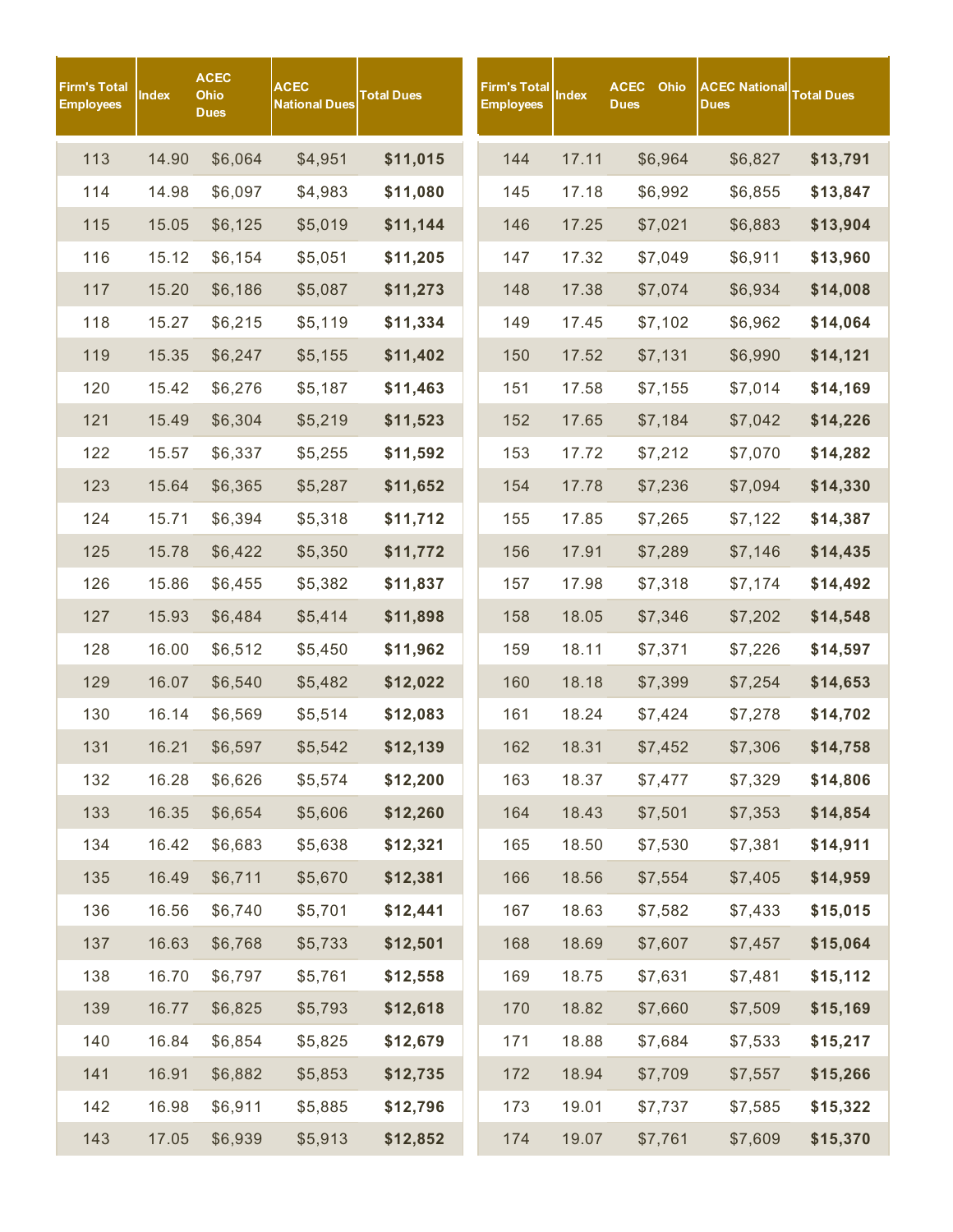| Firm's Total<br>Employees | Index | <b>ACEC</b><br>Ohio<br><b>Dues</b> | <b>ACEC</b><br><b>National Dues</b> | <b>Total Dues</b> | <b>Firm's Total</b><br><b>Employees</b> | <b>Index</b> | <b>ACEC</b><br><b>Dues</b> | Ohio    | <b>ACEC National</b><br><b>Dues</b> | <b>Total Dues</b> |
|---------------------------|-------|------------------------------------|-------------------------------------|-------------------|-----------------------------------------|--------------|----------------------------|---------|-------------------------------------|-------------------|
| 113                       | 14.90 | \$6,064                            | \$4,951                             | \$11,015          | 144                                     | 17.11        |                            | \$6,964 | \$6,827                             | \$13,791          |
| 114                       | 14.98 | \$6,097                            | \$4,983                             | \$11,080          | 145                                     | 17.18        |                            | \$6,992 | \$6,855                             | \$13,847          |
| 115                       | 15.05 | \$6,125                            | \$5,019                             | \$11,144          | 146                                     | 17.25        |                            | \$7,021 | \$6,883                             | \$13,904          |
| 116                       | 15.12 | \$6,154                            | \$5,051                             | \$11,205          | 147                                     | 17.32        |                            | \$7,049 | \$6,911                             | \$13,960          |
| 117                       | 15.20 | \$6,186                            | \$5,087                             | \$11,273          | 148                                     | 17.38        |                            | \$7,074 | \$6,934                             | \$14,008          |
| 118                       | 15.27 | \$6,215                            | \$5,119                             | \$11,334          | 149                                     | 17.45        |                            | \$7,102 | \$6,962                             | \$14,064          |
| 119                       | 15.35 | \$6,247                            | \$5,155                             | \$11,402          | 150                                     | 17.52        |                            | \$7,131 | \$6,990                             | \$14,121          |
| 120                       | 15.42 | \$6,276                            | \$5,187                             | \$11,463          | 151                                     | 17.58        |                            | \$7,155 | \$7,014                             | \$14,169          |
| 121                       | 15.49 | \$6,304                            | \$5,219                             | \$11,523          | 152                                     | 17.65        |                            | \$7,184 | \$7,042                             | \$14,226          |
| 122                       | 15.57 | \$6,337                            | \$5,255                             | \$11,592          | 153                                     | 17.72        |                            | \$7,212 | \$7,070                             | \$14,282          |
| 123                       | 15.64 | \$6,365                            | \$5,287                             | \$11,652          | 154                                     | 17.78        |                            | \$7,236 | \$7,094                             | \$14,330          |
| 124                       | 15.71 | \$6,394                            | \$5,318                             | \$11,712          | 155                                     | 17.85        |                            | \$7,265 | \$7,122                             | \$14,387          |
| 125                       | 15.78 | \$6,422                            | \$5,350                             | \$11,772          | 156                                     | 17.91        |                            | \$7,289 | \$7,146                             | \$14,435          |
| 126                       | 15.86 | \$6,455                            | \$5,382                             | \$11,837          | 157                                     | 17.98        |                            | \$7,318 | \$7,174                             | \$14,492          |
| 127                       | 15.93 | \$6,484                            | \$5,414                             | \$11,898          | 158                                     | 18.05        |                            | \$7,346 | \$7,202                             | \$14,548          |
| 128                       | 16.00 | \$6,512                            | \$5,450                             | \$11,962          | 159                                     | 18.11        |                            | \$7,371 | \$7,226                             | \$14,597          |
| 129                       | 16.07 | \$6,540                            | \$5,482                             | \$12,022          | 160                                     | 18.18        |                            | \$7,399 | \$7,254                             | \$14,653          |
| 130                       | 16.14 | \$6,569                            | \$5,514                             | \$12,083          | 161                                     | 18.24        |                            | \$7,424 | \$7,278                             | \$14,702          |
| 131                       | 16.21 | \$6,597                            | \$5,542                             | \$12,139          | 162                                     | 18.31        |                            | \$7,452 | \$7,306                             | \$14,758          |
| 132                       | 16.28 | \$6,626                            | \$5,574                             | \$12,200          | 163                                     | 18.37        |                            | \$7,477 | \$7,329                             | \$14,806          |
| 133                       | 16.35 | \$6,654                            | \$5,606                             | \$12,260          | 164                                     | 18.43        |                            | \$7,501 | \$7,353                             | \$14,854          |
| 134                       | 16.42 | \$6,683                            | \$5,638                             | \$12,321          | 165                                     | 18.50        |                            | \$7,530 | \$7,381                             | \$14,911          |
| 135                       | 16.49 | \$6,711                            | \$5,670                             | \$12,381          | 166                                     | 18.56        |                            | \$7,554 | \$7,405                             | \$14,959          |
| 136                       | 16.56 | \$6,740                            | \$5,701                             | \$12,441          | 167                                     | 18.63        |                            | \$7,582 | \$7,433                             | \$15,015          |
| 137                       | 16.63 | \$6,768                            | \$5,733                             | \$12,501          | 168                                     | 18.69        |                            | \$7,607 | \$7,457                             | \$15,064          |
| 138                       | 16.70 | \$6,797                            | \$5,761                             | \$12,558          | 169                                     | 18.75        |                            | \$7,631 | \$7,481                             | \$15,112          |
| 139                       | 16.77 | \$6,825                            | \$5,793                             | \$12,618          | 170                                     | 18.82        |                            | \$7,660 | \$7,509                             | \$15,169          |
| 140                       | 16.84 | \$6,854                            | \$5,825                             | \$12,679          | 171                                     | 18.88        |                            | \$7,684 | \$7,533                             | \$15,217          |
| 141                       | 16.91 | \$6,882                            | \$5,853                             | \$12,735          | 172                                     | 18.94        |                            | \$7,709 | \$7,557                             | \$15,266          |
| 142                       | 16.98 | \$6,911                            | \$5,885                             | \$12,796          | 173                                     | 19.01        |                            | \$7,737 | \$7,585                             | \$15,322          |
| 143                       | 17.05 | \$6,939                            | \$5,913                             | \$12,852          | 174                                     | 19.07        |                            | \$7,761 | \$7,609                             | \$15,370          |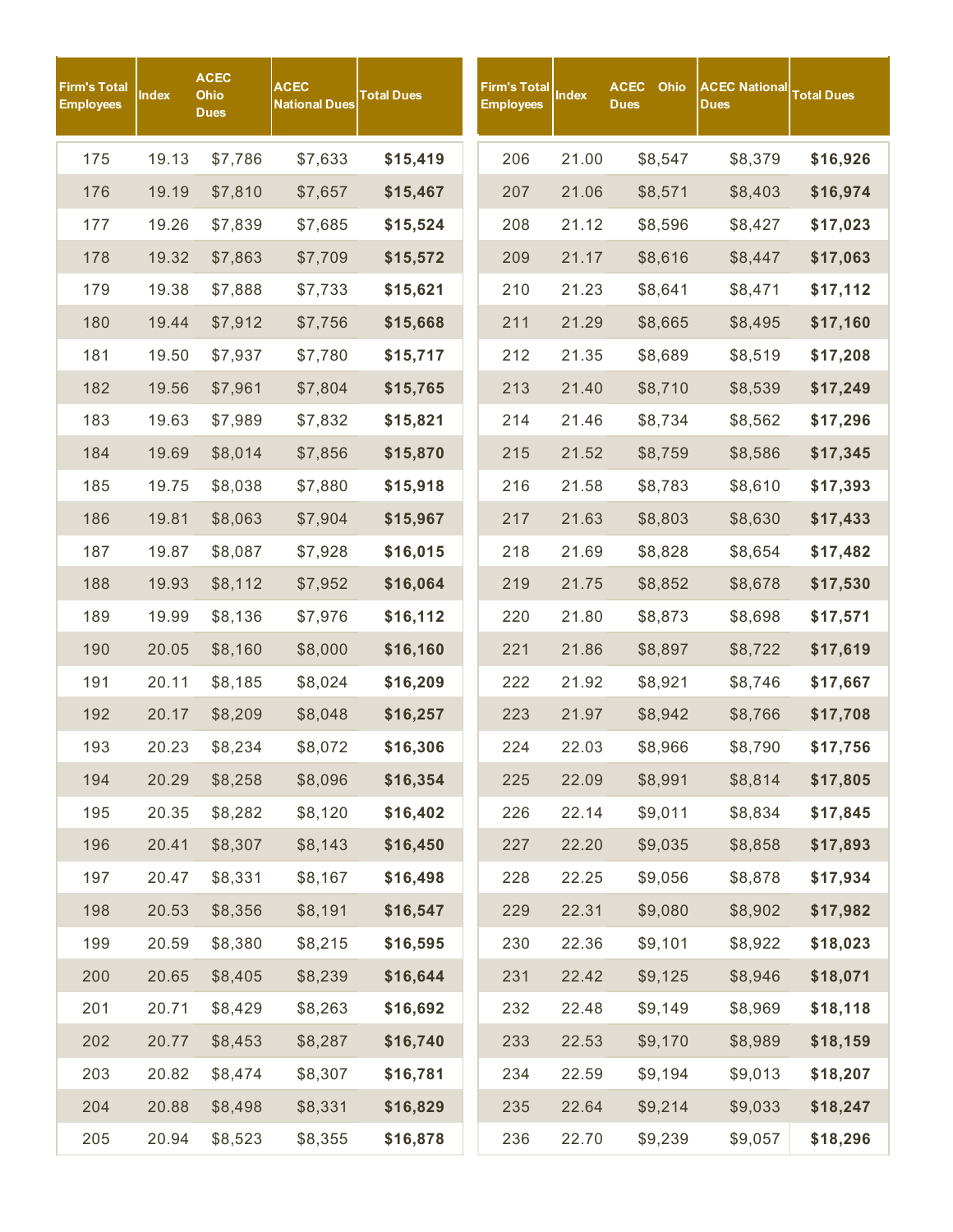| Firm's Total<br><b>Employees</b> | Index | <b>ACEC</b><br>Ohio<br><b>Dues</b> | <b>ACEC</b><br><b>National Dues</b> | <b>Total Dues</b> | Firm's Total<br><b>Employees</b> | <b>Index</b> | <b>ACEC</b><br><b>Dues</b> | Ohio    | <b>ACEC National</b><br><b>Dues</b> | <b>Total Dues</b> |
|----------------------------------|-------|------------------------------------|-------------------------------------|-------------------|----------------------------------|--------------|----------------------------|---------|-------------------------------------|-------------------|
| 175                              | 19.13 | \$7,786                            | \$7,633                             | \$15,419          | 206                              | 21.00        |                            | \$8,547 | \$8,379                             | \$16,926          |
| 176                              | 19.19 | \$7,810                            | \$7,657                             | \$15,467          | 207                              | 21.06        |                            | \$8,571 | \$8,403                             | \$16,974          |
| 177                              | 19.26 | \$7,839                            | \$7,685                             | \$15,524          | 208                              | 21.12        |                            | \$8,596 | \$8,427                             | \$17,023          |
| 178                              | 19.32 | \$7,863                            | \$7,709                             | \$15,572          | 209                              | 21.17        |                            | \$8,616 | \$8,447                             | \$17,063          |
| 179                              | 19.38 | \$7,888                            | \$7,733                             | \$15,621          | 210                              | 21.23        |                            | \$8,641 | \$8,471                             | \$17,112          |
| 180                              | 19.44 | \$7,912                            | \$7,756                             | \$15,668          | 211                              | 21.29        |                            | \$8,665 | \$8,495                             | \$17,160          |
| 181                              | 19.50 | \$7,937                            | \$7,780                             | \$15,717          | 212                              | 21.35        |                            | \$8,689 | \$8,519                             | \$17,208          |
| 182                              | 19.56 | \$7,961                            | \$7,804                             | \$15,765          | 213                              | 21.40        |                            | \$8,710 | \$8,539                             | \$17,249          |
| 183                              | 19.63 | \$7,989                            | \$7,832                             | \$15,821          | 214                              | 21.46        |                            | \$8,734 | \$8,562                             | \$17,296          |
| 184                              | 19.69 | \$8,014                            | \$7,856                             | \$15,870          | 215                              | 21.52        |                            | \$8,759 | \$8,586                             | \$17,345          |
| 185                              | 19.75 | \$8,038                            | \$7,880                             | \$15,918          | 216                              | 21.58        |                            | \$8,783 | \$8,610                             | \$17,393          |
| 186                              | 19.81 | \$8,063                            | \$7,904                             | \$15,967          | 217                              | 21.63        |                            | \$8,803 | \$8,630                             | \$17,433          |
| 187                              | 19.87 | \$8,087                            | \$7,928                             | \$16,015          | 218                              | 21.69        |                            | \$8,828 | \$8,654                             | \$17,482          |
| 188                              | 19.93 | \$8,112                            | \$7,952                             | \$16,064          | 219                              | 21.75        |                            | \$8,852 | \$8,678                             | \$17,530          |
| 189                              | 19.99 | \$8,136                            | \$7,976                             | \$16,112          | 220                              | 21.80        |                            | \$8,873 | \$8,698                             | \$17,571          |
| 190                              | 20.05 | \$8,160                            | \$8,000                             | \$16,160          | 221                              | 21.86        |                            | \$8,897 | \$8,722                             | \$17,619          |
| 191                              | 20.11 | \$8,185                            | \$8,024                             | \$16,209          | 222                              | 21.92        |                            | \$8,921 | \$8,746                             | \$17,667          |
| 192                              | 20.17 | \$8,209                            | \$8,048                             | \$16,257          | 223                              | 21.97        |                            | \$8,942 | \$8,766                             | \$17,708          |
| 193                              | 20.23 | \$8,234                            | \$8,072                             | \$16,306          | 224                              | 22.03        |                            | \$8,966 | \$8,790                             | \$17,756          |
| 194                              | 20.29 | \$8,258                            | \$8,096                             | \$16,354          | 225                              | 22.09        |                            | \$8,991 | \$8,814                             | \$17,805          |
| 195                              | 20.35 | \$8,282                            | \$8,120                             | \$16,402          | 226                              | 22.14        |                            | \$9,011 | \$8,834                             | \$17,845          |
| 196                              | 20.41 | \$8,307                            | \$8,143                             | \$16,450          | 227                              | 22.20        |                            | \$9,035 | \$8,858                             | \$17,893          |
| 197                              | 20.47 | \$8,331                            | \$8,167                             | \$16,498          | 228                              | 22.25        |                            | \$9,056 | \$8,878                             | \$17,934          |
| 198                              | 20.53 | \$8,356                            | \$8,191                             | \$16,547          | 229                              | 22.31        |                            | \$9,080 | \$8,902                             | \$17,982          |
| 199                              | 20.59 | \$8,380                            | \$8,215                             | \$16,595          | 230                              | 22.36        |                            | \$9,101 | \$8,922                             | \$18,023          |
| 200                              | 20.65 | \$8,405                            | \$8,239                             | \$16,644          | 231                              | 22.42        |                            | \$9,125 | \$8,946                             | \$18,071          |
| 201                              | 20.71 | \$8,429                            | \$8,263                             | \$16,692          | 232                              | 22.48        |                            | \$9,149 | \$8,969                             | \$18,118          |
| 202                              | 20.77 | \$8,453                            | \$8,287                             | \$16,740          | 233                              | 22.53        |                            | \$9,170 | \$8,989                             | \$18,159          |
| 203                              | 20.82 | \$8,474                            | \$8,307                             | \$16,781          | 234                              | 22.59        |                            | \$9,194 | \$9,013                             | \$18,207          |
| 204                              | 20.88 | \$8,498                            | \$8,331                             | \$16,829          | 235                              | 22.64        |                            | \$9,214 | \$9,033                             | \$18,247          |
| 205                              | 20.94 | \$8,523                            | \$8,355                             | \$16,878          | 236                              | 22.70        |                            | \$9,239 | \$9,057                             | \$18,296          |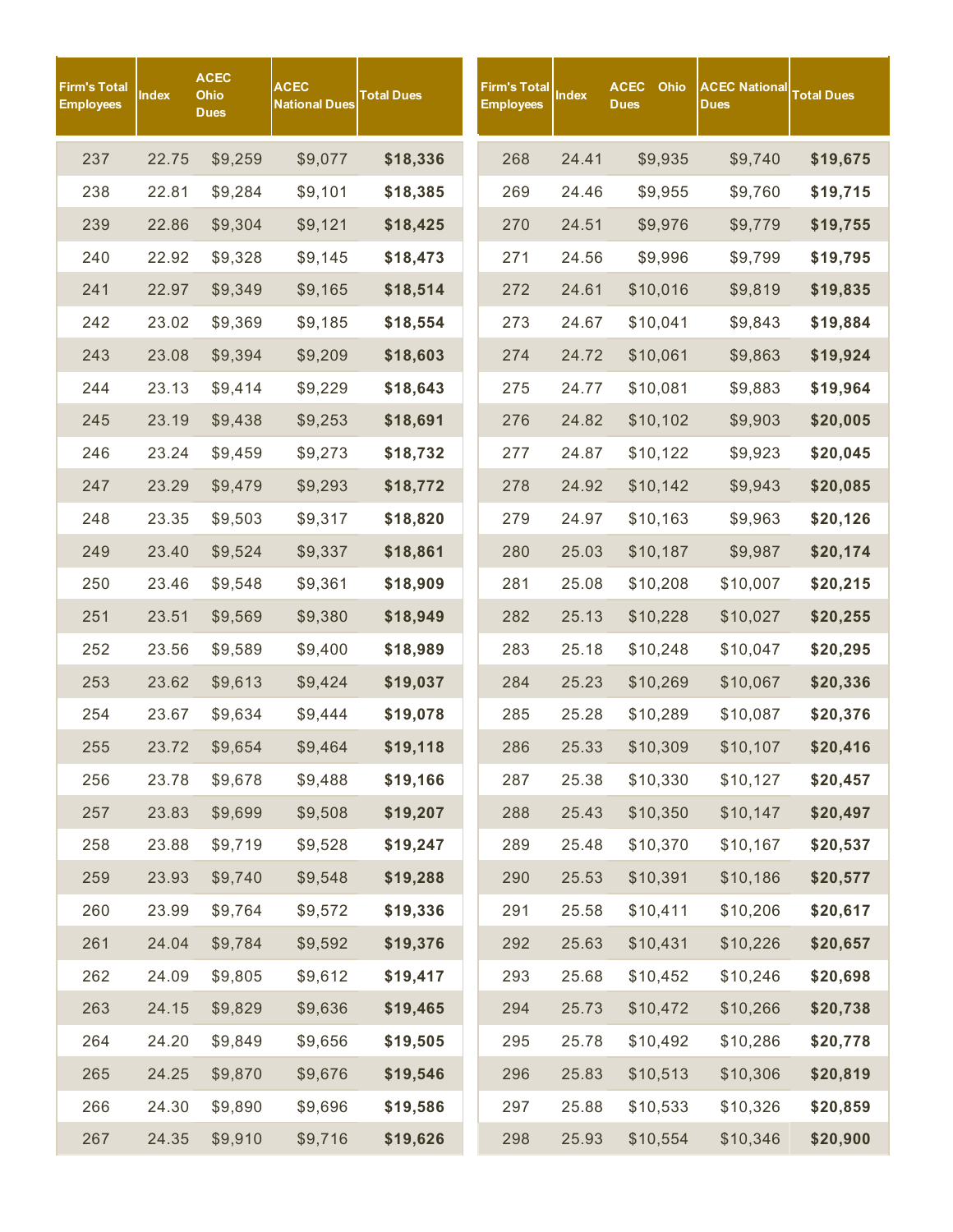| Firm's Total<br><b>Employees</b> | Index | <b>ACEC</b><br>Ohio<br><b>Dues</b> | <b>ACEC</b><br><b>National Dues</b> | Total Dues | Firm's Total<br><b>Employees</b> | Index | <b>ACEC</b><br>Ohio<br><b>Dues</b> | <b>ACEC National</b><br><b>Dues</b> | <b>Total Dues</b> |
|----------------------------------|-------|------------------------------------|-------------------------------------|------------|----------------------------------|-------|------------------------------------|-------------------------------------|-------------------|
| 237                              | 22.75 | \$9,259                            | \$9,077                             | \$18,336   | 268                              | 24.41 | \$9,935                            | \$9,740                             | \$19,675          |
| 238                              | 22.81 | \$9,284                            | \$9,101                             | \$18,385   | 269                              | 24.46 | \$9,955                            | \$9,760                             | \$19,715          |
| 239                              | 22.86 | \$9,304                            | \$9,121                             | \$18,425   | 270                              | 24.51 | \$9,976                            | \$9,779                             | \$19,755          |
| 240                              | 22.92 | \$9,328                            | \$9,145                             | \$18,473   | 271                              | 24.56 | \$9,996                            | \$9,799                             | \$19,795          |
| 241                              | 22.97 | \$9,349                            | \$9,165                             | \$18,514   | 272                              | 24.61 | \$10,016                           | \$9,819                             | \$19,835          |
| 242                              | 23.02 | \$9,369                            | \$9,185                             | \$18,554   | 273                              | 24.67 | \$10,041                           | \$9,843                             | \$19,884          |
| 243                              | 23.08 | \$9,394                            | \$9,209                             | \$18,603   | 274                              | 24.72 | \$10,061                           | \$9,863                             | \$19,924          |
| 244                              | 23.13 | \$9,414                            | \$9,229                             | \$18,643   | 275                              | 24.77 | \$10,081                           | \$9,883                             | \$19,964          |
| 245                              | 23.19 | \$9,438                            | \$9,253                             | \$18,691   | 276                              | 24.82 | \$10,102                           | \$9,903                             | \$20,005          |
| 246                              | 23.24 | \$9,459                            | \$9,273                             | \$18,732   | 277                              | 24.87 | \$10,122                           | \$9,923                             | \$20,045          |
| 247                              | 23.29 | \$9,479                            | \$9,293                             | \$18,772   | 278                              | 24.92 | \$10,142                           | \$9,943                             | \$20,085          |
| 248                              | 23.35 | \$9,503                            | \$9,317                             | \$18,820   | 279                              | 24.97 | \$10,163                           | \$9,963                             | \$20,126          |
| 249                              | 23.40 | \$9,524                            | \$9,337                             | \$18,861   | 280                              | 25.03 | \$10,187                           | \$9,987                             | \$20,174          |
| 250                              | 23.46 | \$9,548                            | \$9,361                             | \$18,909   | 281                              | 25.08 | \$10,208                           | \$10,007                            | \$20,215          |
| 251                              | 23.51 | \$9,569                            | \$9,380                             | \$18,949   | 282                              | 25.13 | \$10,228                           | \$10,027                            | \$20,255          |
| 252                              | 23.56 | \$9,589                            | \$9,400                             | \$18,989   | 283                              | 25.18 | \$10,248                           | \$10,047                            | \$20,295          |
| 253                              | 23.62 | \$9,613                            | \$9,424                             | \$19,037   | 284                              | 25.23 | \$10,269                           | \$10,067                            | \$20,336          |
| 254                              | 23.67 | \$9,634                            | \$9,444                             | \$19,078   | 285                              | 25.28 | \$10,289                           | \$10,087                            | \$20,376          |
| 255                              | 23.72 | \$9,654                            | \$9,464                             | \$19,118   | 286                              | 25.33 | \$10,309                           | \$10,107                            | \$20,416          |
| 256                              | 23.78 | \$9,678                            | \$9,488                             | \$19,166   | 287                              | 25.38 | \$10,330                           | \$10,127                            | \$20,457          |
| 257                              | 23.83 | \$9,699                            | \$9,508                             | \$19,207   | 288                              | 25.43 | \$10,350                           | \$10,147                            | \$20,497          |
| 258                              | 23.88 | \$9,719                            | \$9,528                             | \$19,247   | 289                              | 25.48 | \$10,370                           | \$10,167                            | \$20,537          |
| 259                              | 23.93 | \$9,740                            | \$9,548                             | \$19,288   | 290                              | 25.53 | \$10,391                           | \$10,186                            | \$20,577          |
| 260                              | 23.99 | \$9,764                            | \$9,572                             | \$19,336   | 291                              | 25.58 | \$10,411                           | \$10,206                            | \$20,617          |
| 261                              | 24.04 | \$9,784                            | \$9,592                             | \$19,376   | 292                              | 25.63 | \$10,431                           | \$10,226                            | \$20,657          |
| 262                              | 24.09 | \$9,805                            | \$9,612                             | \$19,417   | 293                              | 25.68 | \$10,452                           | \$10,246                            | \$20,698          |
| 263                              | 24.15 | \$9,829                            | \$9,636                             | \$19,465   | 294                              | 25.73 | \$10,472                           | \$10,266                            | \$20,738          |
| 264                              | 24.20 | \$9,849                            | \$9,656                             | \$19,505   | 295                              | 25.78 | \$10,492                           | \$10,286                            | \$20,778          |
| 265                              | 24.25 | \$9,870                            | \$9,676                             | \$19,546   | 296                              | 25.83 | \$10,513                           | \$10,306                            | \$20,819          |
| 266                              | 24.30 | \$9,890                            | \$9,696                             | \$19,586   | 297                              | 25.88 | \$10,533                           | \$10,326                            | \$20,859          |
| 267                              | 24.35 | \$9,910                            | \$9,716                             | \$19,626   | 298                              | 25.93 | \$10,554                           | \$10,346                            | \$20,900          |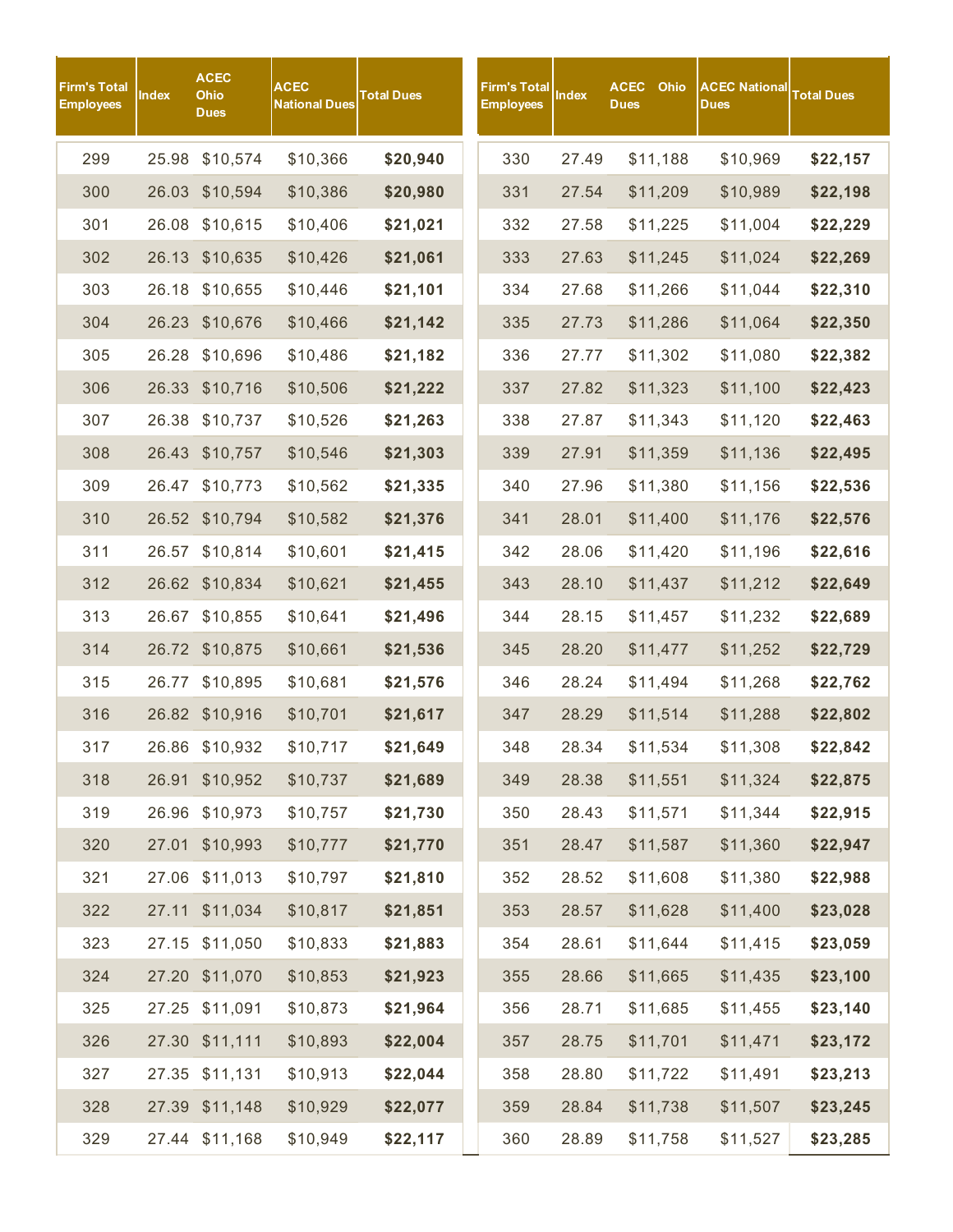| Firm's Total<br><b>Employees</b> | Index | <b>ACEC</b><br>Ohio<br><b>Dues</b> | <b>ACEC</b><br><b>National Dues</b> | <b>Total Dues</b> | <b>Firm's Total</b><br><b>Employees</b> | <b>Index</b> | <b>ACEC</b><br><b>Dues</b> | Ohio     | <b>ACEC National</b><br><b>Dues</b> | <b>Total Dues</b> |
|----------------------------------|-------|------------------------------------|-------------------------------------|-------------------|-----------------------------------------|--------------|----------------------------|----------|-------------------------------------|-------------------|
| 299                              | 25.98 | \$10,574                           | \$10,366                            | \$20,940          | 330                                     | 27.49        |                            | \$11,188 | \$10,969                            | \$22,157          |
| 300                              | 26.03 | \$10,594                           | \$10,386                            | \$20,980          | 331                                     | 27.54        |                            | \$11,209 | \$10,989                            | \$22,198          |
| 301                              |       | 26.08 \$10,615                     | \$10,406                            | \$21,021          | 332                                     | 27.58        |                            | \$11,225 | \$11,004                            | \$22,229          |
| 302                              |       | 26.13 \$10,635                     | \$10,426                            | \$21,061          | 333                                     | 27.63        |                            | \$11,245 | \$11,024                            | \$22,269          |
| 303                              | 26.18 | \$10,655                           | \$10,446                            | \$21,101          | 334                                     | 27.68        |                            | \$11,266 | \$11,044                            | \$22,310          |
| 304                              |       | 26.23 \$10,676                     | \$10,466                            | \$21,142          | 335                                     | 27.73        |                            | \$11,286 | \$11,064                            | \$22,350          |
| 305                              |       | 26.28 \$10,696                     | \$10,486                            | \$21,182          | 336                                     | 27.77        |                            | \$11,302 | \$11,080                            | \$22,382          |
| 306                              | 26.33 | \$10,716                           | \$10,506                            | \$21,222          | 337                                     | 27.82        |                            | \$11,323 | \$11,100                            | \$22,423          |
| 307                              | 26.38 | \$10,737                           | \$10,526                            | \$21,263          | 338                                     | 27.87        |                            | \$11,343 | \$11,120                            | \$22,463          |
| 308                              |       | 26.43 \$10,757                     | \$10,546                            | \$21,303          | 339                                     | 27.91        |                            | \$11,359 | \$11,136                            | \$22,495          |
| 309                              |       | 26.47 \$10,773                     | \$10,562                            | \$21,335          | 340                                     | 27.96        |                            | \$11,380 | \$11,156                            | \$22,536          |
| 310                              |       | 26.52 \$10,794                     | \$10,582                            | \$21,376          | 341                                     | 28.01        |                            | \$11,400 | \$11,176                            | \$22,576          |
| 311                              | 26.57 | \$10,814                           | \$10,601                            | \$21,415          | 342                                     | 28.06        |                            | \$11,420 | \$11,196                            | \$22,616          |
| 312                              |       | 26.62 \$10,834                     | \$10,621                            | \$21,455          | 343                                     | 28.10        |                            | \$11,437 | \$11,212                            | \$22,649          |
| 313                              | 26.67 | \$10,855                           | \$10,641                            | \$21,496          | 344                                     | 28.15        |                            | \$11,457 | \$11,232                            | \$22,689          |
| 314                              |       | 26.72 \$10,875                     | \$10,661                            | \$21,536          | 345                                     | 28.20        |                            | \$11,477 | \$11,252                            | \$22,729          |
| 315                              | 26.77 | \$10,895                           | \$10,681                            | \$21,576          | 346                                     | 28.24        |                            | \$11,494 | \$11,268                            | \$22,762          |
| 316                              |       | 26.82 \$10,916                     | \$10,701                            | \$21,617          | 347                                     | 28.29        |                            | \$11,514 | \$11,288                            | \$22,802          |
| 317                              |       | 26.86 \$10,932                     | \$10,717                            | \$21,649          | 348                                     | 28.34        |                            | \$11,534 | \$11,308                            | \$22,842          |
| 318                              | 26.91 | \$10,952                           | \$10,737                            | \$21,689          | 349                                     | 28.38        |                            | \$11,551 | \$11,324                            | \$22,875          |
| 319                              |       | 26.96 \$10,973                     | \$10,757                            | \$21,730          | 350                                     | 28.43        |                            | \$11,571 | \$11,344                            | \$22,915          |
| 320                              | 27.01 | \$10,993                           | \$10,777                            | \$21,770          | 351                                     | 28.47        |                            | \$11,587 | \$11,360                            | \$22,947          |
| 321                              |       | 27.06 \$11,013                     | \$10,797                            | \$21,810          | 352                                     | 28.52        |                            | \$11,608 | \$11,380                            | \$22,988          |
| 322                              |       | 27.11 \$11,034                     | \$10,817                            | \$21,851          | 353                                     | 28.57        |                            | \$11,628 | \$11,400                            | \$23,028          |
| 323                              |       | 27.15 \$11,050                     | \$10,833                            | \$21,883          | 354                                     | 28.61        |                            | \$11,644 | \$11,415                            | \$23,059          |
| 324                              |       | 27.20 \$11,070                     | \$10,853                            | \$21,923          | 355                                     | 28.66        |                            | \$11,665 | \$11,435                            | \$23,100          |
| 325                              |       | 27.25 \$11,091                     | \$10,873                            | \$21,964          | 356                                     | 28.71        |                            | \$11,685 | \$11,455                            | \$23,140          |
| 326                              |       | 27.30 \$11,111                     | \$10,893                            | \$22,004          | 357                                     | 28.75        |                            | \$11,701 | \$11,471                            | \$23,172          |
| 327                              |       | 27.35 \$11,131                     | \$10,913                            | \$22,044          | 358                                     | 28.80        |                            | \$11,722 | \$11,491                            | \$23,213          |
| 328                              |       | 27.39 \$11,148                     | \$10,929                            | \$22,077          | 359                                     | 28.84        |                            | \$11,738 | \$11,507                            | \$23,245          |
| 329                              |       | 27.44 \$11,168                     | \$10,949                            | \$22,117          | 360                                     | 28.89        |                            | \$11,758 | \$11,527                            | \$23,285          |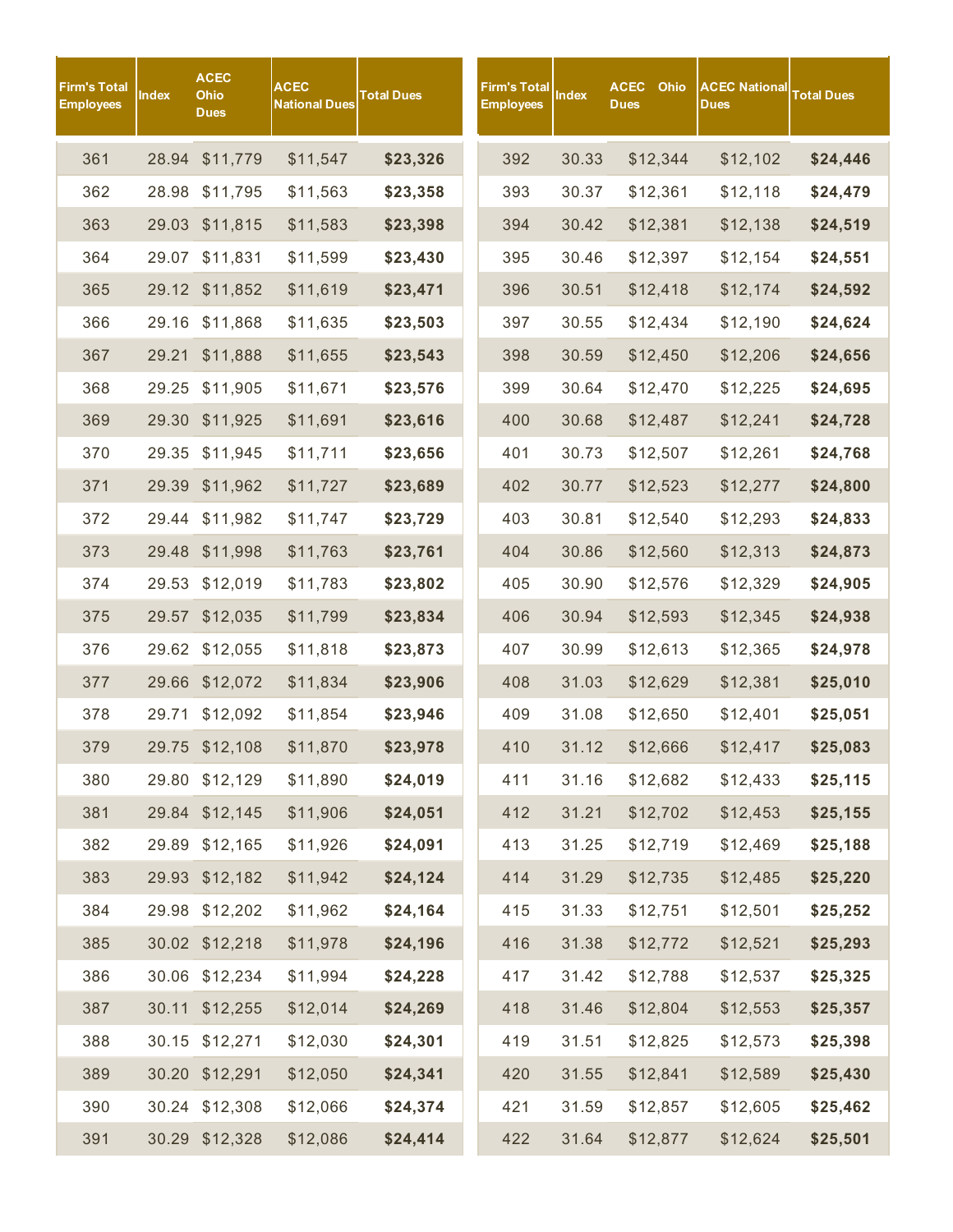| <b>Firm's Total</b><br><b>Employees</b> | <b>Index</b> | <b>ACEC</b><br>Ohio<br><b>Dues</b> | <b>ACEC</b><br>National Dues | <b>Total Dues</b> | Firm's Total<br><b>Employees</b> | <b>Index</b> | <b>ACEC</b><br>Ohio<br><b>Dues</b> | <b>ACEC National</b><br><b>Dues</b> | <b>Total Dues</b> |
|-----------------------------------------|--------------|------------------------------------|------------------------------|-------------------|----------------------------------|--------------|------------------------------------|-------------------------------------|-------------------|
| 361                                     | 28.94        | \$11,779                           | \$11,547                     | \$23,326          | 392                              | 30.33        | \$12,344                           | \$12,102                            | \$24,446          |
| 362                                     | 28.98        | \$11,795                           | \$11,563                     | \$23,358          | 393                              | 30.37        | \$12,361                           | \$12,118                            | \$24,479          |
| 363                                     |              | 29.03 \$11,815                     | \$11,583                     | \$23,398          | 394                              | 30.42        | \$12,381                           | \$12,138                            | \$24,519          |
| 364                                     |              | 29.07 \$11,831                     | \$11,599                     | \$23,430          | 395                              | 30.46        | \$12,397                           | \$12,154                            | \$24,551          |
| 365                                     |              | 29.12 \$11,852                     | \$11,619                     | \$23,471          | 396                              | 30.51        | \$12,418                           | \$12,174                            | \$24,592          |
| 366                                     | 29.16        | \$11,868                           | \$11,635                     | \$23,503          | 397                              | 30.55        | \$12,434                           | \$12,190                            | \$24,624          |
| 367                                     | 29.21        | \$11,888                           | \$11,655                     | \$23,543          | 398                              | 30.59        | \$12,450                           | \$12,206                            | \$24,656          |
| 368                                     | 29.25        | \$11,905                           | \$11,671                     | \$23,576          | 399                              | 30.64        | \$12,470                           | \$12,225                            | \$24,695          |
| 369                                     | 29.30        | \$11,925                           | \$11,691                     | \$23,616          | 400                              | 30.68        | \$12,487                           | \$12,241                            | \$24,728          |
| 370                                     | 29.35        | \$11,945                           | \$11,711                     | \$23,656          | 401                              | 30.73        | \$12,507                           | \$12,261                            | \$24,768          |
| 371                                     |              | 29.39 \$11,962                     | \$11,727                     | \$23,689          | 402                              | 30.77        | \$12,523                           | \$12,277                            | \$24,800          |
| 372                                     |              | 29.44 \$11,982                     | \$11,747                     | \$23,729          | 403                              | 30.81        | \$12,540                           | \$12,293                            | \$24,833          |
| 373                                     |              | 29.48 \$11,998                     | \$11,763                     | \$23,761          | 404                              | 30.86        | \$12,560                           | \$12,313                            | \$24,873          |
| 374                                     | 29.53        | \$12,019                           | \$11,783                     | \$23,802          | 405                              | 30.90        | \$12,576                           | \$12,329                            | \$24,905          |
| 375                                     |              | 29.57 \$12,035                     | \$11,799                     | \$23,834          | 406                              | 30.94        | \$12,593                           | \$12,345                            | \$24,938          |
| 376                                     |              | 29.62 \$12,055                     | \$11,818                     | \$23,873          | 407                              | 30.99        | \$12,613                           | \$12,365                            | \$24,978          |
| 377                                     |              | 29.66 \$12,072                     | \$11,834                     | \$23,906          | 408                              | 31.03        | \$12,629                           | \$12,381                            | \$25,010          |
| 378                                     | 29.71        | \$12,092                           | \$11,854                     | \$23,946          | 409                              | 31.08        | \$12,650                           | \$12,401                            | \$25,051          |
| 379                                     |              | 29.75 \$12,108                     | \$11,870                     | \$23,978          | 410                              | 31.12        | \$12,666                           | \$12,417                            | \$25,083          |
| 380                                     |              | 29.80 \$12,129                     | \$11,890                     | \$24,019          | 411                              | 31.16        | \$12,682                           | \$12,433                            | \$25,115          |
| 381                                     |              | 29.84 \$12,145                     | \$11,906                     | \$24,051          | 412                              | 31.21        | \$12,702                           | \$12,453                            | \$25,155          |
| 382                                     |              | 29.89 \$12,165                     | \$11,926                     | \$24,091          | 413                              | 31.25        | \$12,719                           | \$12,469                            | \$25,188          |
| 383                                     |              | 29.93 \$12,182                     | \$11,942                     | \$24,124          | 414                              | 31.29        | \$12,735                           | \$12,485                            | \$25,220          |
| 384                                     |              | 29.98 \$12,202                     | \$11,962                     | \$24,164          | 415                              | 31.33        | \$12,751                           | \$12,501                            | \$25,252          |
| 385                                     |              | 30.02 \$12,218                     | \$11,978                     | \$24,196          | 416                              | 31.38        | \$12,772                           | \$12,521                            | \$25,293          |
| 386                                     |              | 30.06 \$12,234                     | \$11,994                     | \$24,228          | 417                              | 31.42        | \$12,788                           | \$12,537                            | \$25,325          |
| 387                                     |              | 30.11 \$12,255                     | \$12,014                     | \$24,269          | 418                              | 31.46        | \$12,804                           | \$12,553                            | \$25,357          |
| 388                                     |              | 30.15 \$12,271                     | \$12,030                     | \$24,301          | 419                              | 31.51        | \$12,825                           | \$12,573                            | \$25,398          |
| 389                                     |              | 30.20 \$12,291                     | \$12,050                     | \$24,341          | 420                              | 31.55        | \$12,841                           | \$12,589                            | \$25,430          |
| 390                                     |              | 30.24 \$12,308                     | \$12,066                     | \$24,374          | 421                              | 31.59        | \$12,857                           | \$12,605                            | \$25,462          |
| 391                                     |              | 30.29 \$12,328                     | \$12,086                     | \$24,414          | 422                              | 31.64        | \$12,877                           | \$12,624                            | \$25,501          |